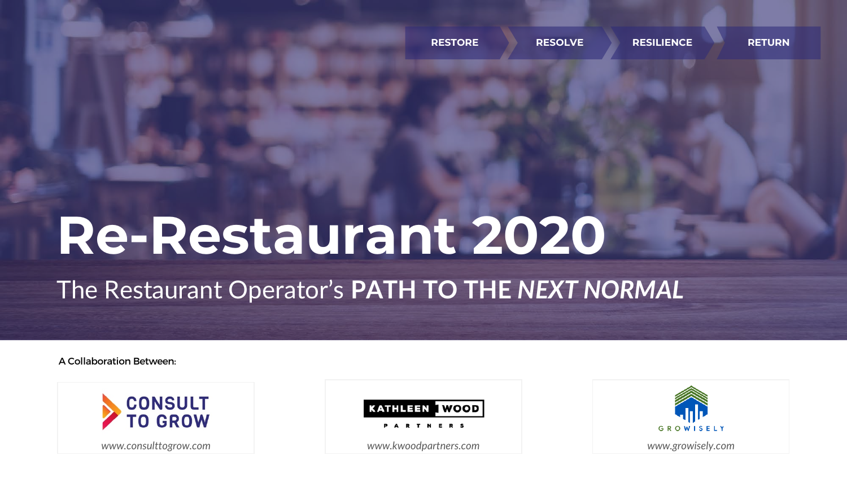# Re-Restaurant 2020

## The Restaurant Operator's PATH TO THE NEXT NORMAL

A Collaboration Between:





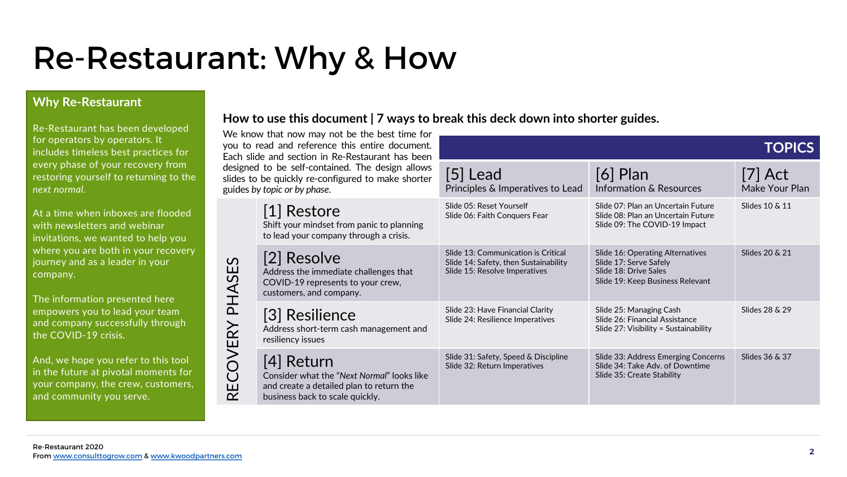## Re-Restaurant: Why & How

RECOVERY PHASES

RECOVERY PHASES

### Why Re-Restaurant

Re-Restaurant has been developed for operators by operators. It includes timeless best practices for every phase of your recovery from restoring yourself to returning to the next normal.

At a time when inboxes are flooded with newsletters and webinar invitations, we wanted to help you where you are both in your recovery journey and as a leader in your company.

The information presented here empowers you to lead your team and company successfully through the COVID-19 crisis.

And, we hope you refer to this tool in the future at pivotal moments for your company, the crew, customers, and community you serve.

How to use this document | 7 ways to break this deck down into shorter guides.

We know that now may not you to read and reference the Each slide and section in Redesigned to be self-contained slides to be quickly re-configu guides by topic or by phase.

> [1] Restore Shift your mindset from to lead your company

Resolve Address the immediat COVID-19 represents customers, and compa

[3] Resilienc Address short-term ca resiliency issues

### [4] Return Consider what the " $N_0$

and create a detailed business back to scale quickly.

| be the best time for<br>is entire document.<br>Restaurant has been | <b>TOPICS</b>                                                                                                 |                                                                                                                         |                             |  |
|--------------------------------------------------------------------|---------------------------------------------------------------------------------------------------------------|-------------------------------------------------------------------------------------------------------------------------|-----------------------------|--|
| l. The design allows<br>red to make shorter                        | [5] Lead<br>Principles & Imperatives to Lead                                                                  | $[6]$ Plan<br>Information & Resources                                                                                   | $[7]$ Act<br>Make Your Plan |  |
| m panic to planning<br>through a crisis.                           | Slide 05: Reset Yourself<br>Slide 06: Faith Conquers Fear                                                     | Slide 07: Plan an Uncertain Future<br>Slide 08: Plan an Uncertain Future<br>Slide 09: The COVID-19 Impact               | Slides 10 & 11              |  |
| e challenges that<br>to your crew,<br>any.                         | Slide 13: Communication is Critical<br>Slide 14: Safety, then Sustainability<br>Slide 15: Resolve Imperatives | Slide 16: Operating Alternatives<br>Slide 17: Serve Safely<br>Slide 18: Drive Sales<br>Slide 19: Keep Business Relevant | Slides 20 & 21              |  |
| e<br>ash management and                                            | Slide 23: Have Financial Clarity<br>Slide 24: Resilience Imperatives                                          | Slide 25: Managing Cash<br>Slide 26: Financial Assistance<br>Slide $27:$ Visibility = Sustainability                    | Slides 28 & 29              |  |
| ext Normal" looks like<br>plan to return the                       | Slide 31: Safety, Speed & Discipline<br>Slide 32: Return Imperatives                                          | Slide 33: Address Emerging Concerns<br>Slide 34: Take Adv. of Downtime<br>Slide 35: Create Stability                    | Slides 36 & 37              |  |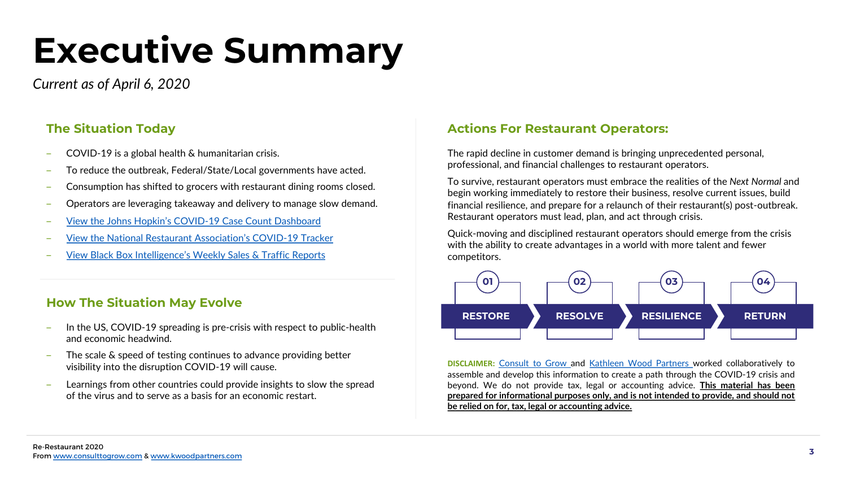# Executive Summary

Current as of April 6, 2020

## The Situation Today

- ‒ COVID-19 is a global health & humanitarian crisis.
- ‒ To reduce the outbreak, Federal/State/Local governments have acted.
- ‒ Consumption has shifted to grocers with restaurant dining rooms closed.
- ‒ Operators are leveraging takeaway and delivery to manage slow demand.
- ‒ [View the Johns Hopkin's COVID-19 Case Count Dashboard](https://bit.ly/3cbxzZF)
- ‒ [View the National Restaurant Association's COVID-19 Tracker](https://bit.ly/2UVQGRD)
- ‒ [View Black Box Intelligence's Weekly Sales & Traffic Reports](https://blackboxintelligence.com/restaurant-industry-news/the-black-box-perspective-on-coronavirus/)

## How The Situation May Evolve

- In the US, COVID-19 spreading is pre-crisis with respect to public-health and economic headwind.
- The scale & speed of testing continues to advance providing better visibility into the disruption COVID-19 will cause.
- Learnings from other countries could provide insights to slow the spread of the virus and to serve as a basis for an economic restart.

## Actions For Restaurant Operators:

The rapid decline in customer demand is bringing unprecedented personal, professional, and financial challenges to restaurant operators.

To survive, restaurant operators must embrace the realities of the Next Normal and begin working immediately to restore their business, resolve current issues, build financial resilience, and prepare for a relaunch of their restaurant(s) post-outbreak. Restaurant operators must lead, plan, and act through crisis.

Quick-moving and disciplined restaurant operators should emerge from the crisis with the ability to create advantages in a world with more talent and fewer competitors.



**DISCLAIMER:** [Consult](https://www.consulttogrow.com/) to Grow and [Kathleen](https://www.kwoodpartners.com/) Wood Partners worked collaboratively to assemble and develop this information to create a path through the COVID-19 crisis and beyond. We do not provide tax, legal or accounting advice. This material has been prepared for informational purposes only, and is not intended to provide, and should not be relied on for, tax, legal or accounting advice.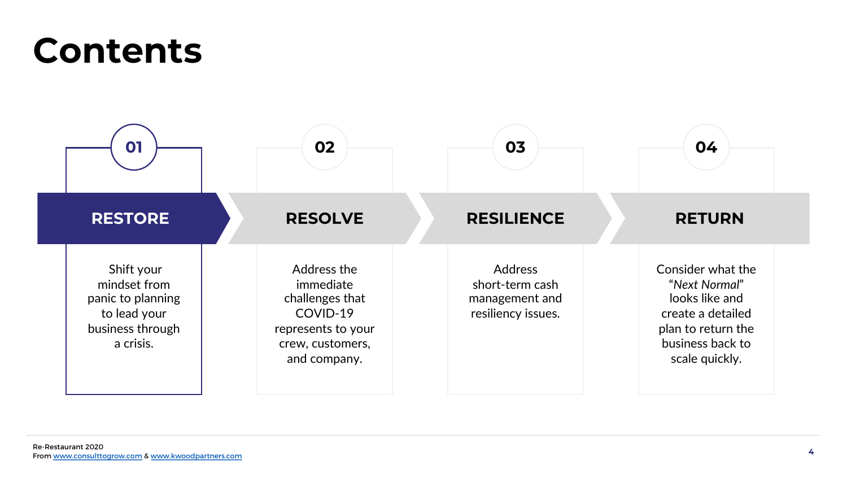## Contents

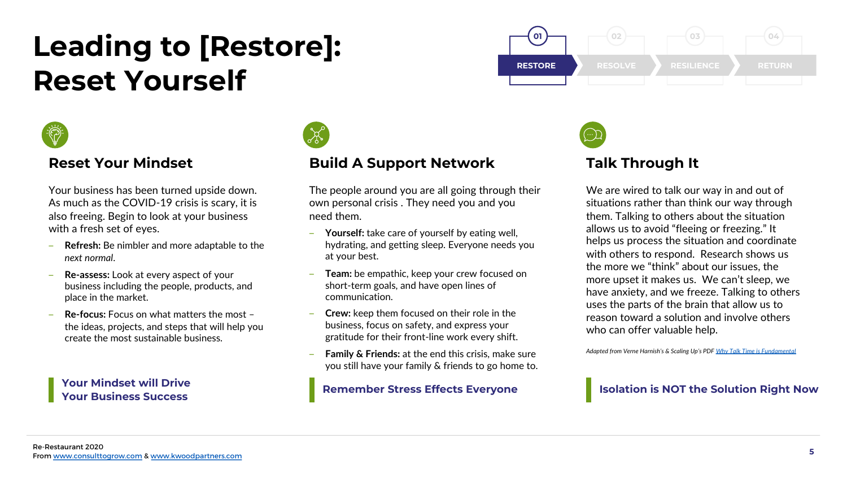## Leading to [Restore]: Reset Yourself



## Reset Your Mindset

Your business has been turned upside down. As much as the COVID-19 crisis is scary, it is also freeing. Begin to look at your business with a fresh set of eyes.

- Refresh: Be nimbler and more adaptable to the next normal.
- Re-assess: Look at every aspect of your business including the people, products, and place in the market.
- ‒ Re-focus: Focus on what matters the most the ideas, projects, and steps that will help you create the most sustainable business.

Your Mindset will Drive Your Business Success



## Build A Support Network

The people around you are all going through their own personal crisis . They need you and you need them.

- Yourself: take care of yourself by eating well, hydrating, and getting sleep. Everyone needs you at your best.
- Team: be empathic, keep your crew focused on short-term goals, and have open lines of communication.
- ‒ Crew: keep them focused on their role in the business, focus on safety, and express your gratitude for their front-line work every shift.
- **Family & Friends:** at the end this crisis, make sure you still have your family & friends to go home to.

Remember Stress Effects Everyone





## Talk Through It

We are wired to talk our way in and out of situations rather than think our way through them. Talking to others about the situation allows us to avoid "fleeing or freezing." It helps us process the situation and coordinate with others to respond. Research shows us the more we "think" about our issues, the more upset it makes us. We can't sleep, we have anxiety, and we freeze. Talking to others uses the parts of the brain that allow us to reason toward a solution and involve others who can offer valuable help.

Adapted from Verne Harnish's & Scaling Up's PDF [Why Talk Time is Fundamental](https://scalingup.com/wp-content/uploads/2020/03/Why-Talk-Time-is-Fundamental-Verne-Harnish-1.pdf)

### Isolation is NOT the Solution Right Now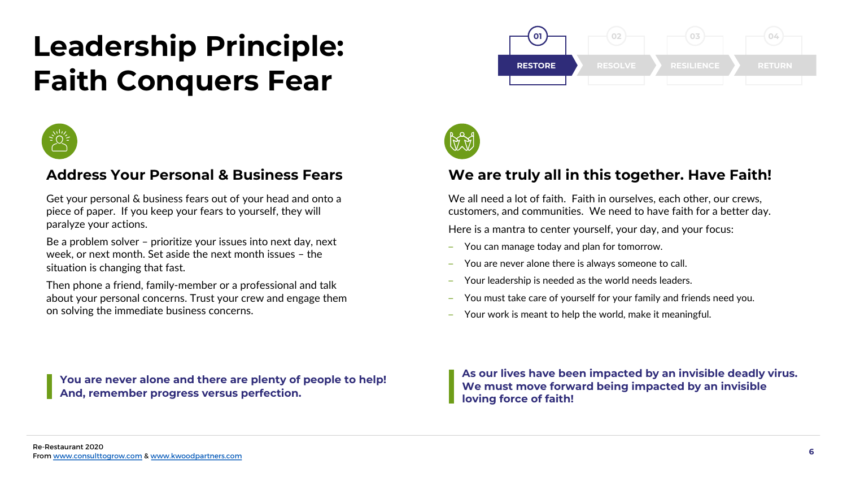## Leadership Principle: Faith Conquers Fear



## Address Your Personal & Business Fears

Get your personal & business fears out of your head and onto a piece of paper. If you keep your fears to yourself, they will paralyze your actions.

Be a problem solver – prioritize your issues into next day, next week, or next month. Set aside the next month issues – the situation is changing that fast.

Then phone a friend, family-member or a professional and talk about your personal concerns. Trust your crew and engage them on solving the immediate business concerns.





## We are truly all in this together. Have Faith!

We all need a lot of faith. Faith in ourselves, each other, our crews, customers, and communities. We need to have faith for a better day.

Here is a mantra to center yourself, your day, and your focus:

- You can manage today and plan for tomorrow.
- You are never alone there is always someone to call.
- ‒ Your leadership is needed as the world needs leaders.
- You must take care of yourself for your family and friends need you.
- ‒ Your work is meant to help the world, make it meaningful.

You are never alone and there are plenty of people to help! And, remember progress versus perfection.

As our lives have been impacted by an invisible deadly virus. We must move forward being impacted by an invisible loving force of faith!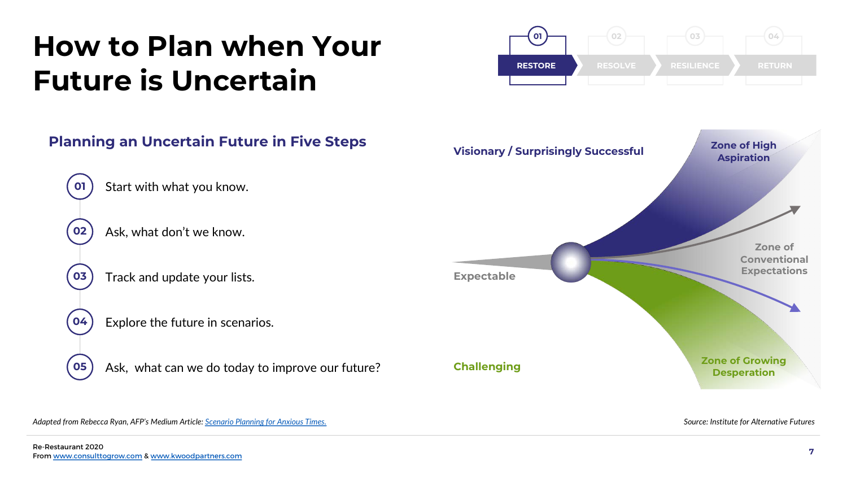## How to Plan when Your Future is Uncertain

## Planning an Uncertain Future in Five Steps 01 ) Start with what you know. 02 ) Ask, what don't we know. 03 Track and update your lists.  $\bullet$   $\bullet$  Explore the future in scenarios. **05**) Ask, what can we do today to improve our future? Visionary / Surprisingly Successful **Challenging** Expectable Zone of High Aspiration Zone of Growing Desperation Zone of Conventional Expectations

**RESTORE** 

RESOLVE

RESILIENCE

RETURN

04

03

02

01

Adapted from Rebecca Ryan, AFP's Medium Article: [Scenario Planning for Anxious Times.](https://medium.com/@rr_futurist/scenario-planning-for-anxious-times-ed0b6361b1b5)

Source: Institute for Alternative Futures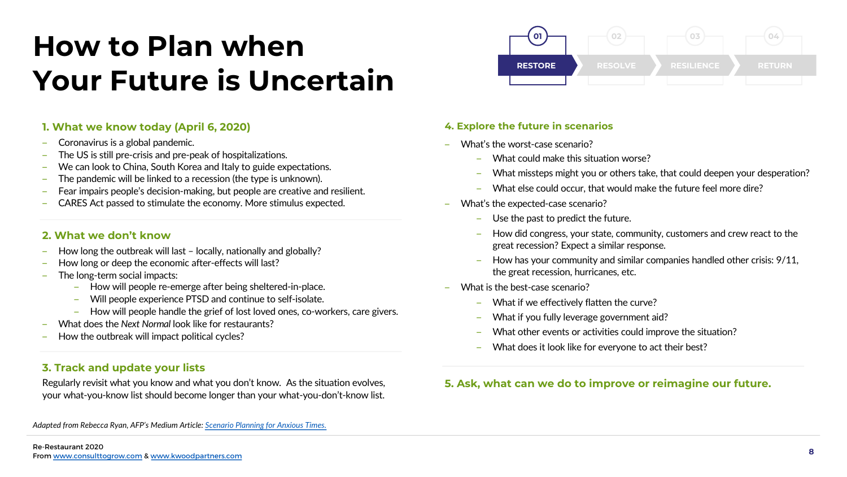## How to Plan when Your Future is Uncertain

### 1. What we know today (April 6, 2020)

- ‒ Coronavirus is a global pandemic.
- ‒ The US is still pre-crisis and pre-peak of hospitalizations.
- We can look to China, South Korea and Italy to guide expectations.
- The pandemic will be linked to a recession (the type is unknown).
- ‒ Fear impairs people's decision-making, but people are creative and resilient.
- CARES Act passed to stimulate the economy. More stimulus expected.

### 2. What we don't know

- How long the outbreak will last locally, nationally and globally?
- How long or deep the economic after-effects will last?
- ‒ The long-term social impacts:
	- ‒ How will people re-emerge after being sheltered-in-place.
	- ‒ Will people experience PTSD and continue to self-isolate.
	- ‒ How will people handle the grief of lost loved ones, co-workers, care givers.
- What does the Next Normal look like for restaurants?
- How the outbreak will impact political cycles?

## 3. Track and update your lists

Regularly revisit what you know and what you don't know. As the situation evolves, your what-you-know list should become longer than your what-you-don't-know list.

### Adapted from Rebecca Ryan, AFP's Medium Article: [Scenario Planning for Anxious Times.](https://medium.com/@rr_futurist/scenario-planning-for-anxious-times-ed0b6361b1b5)



### 4. Explore the future in scenarios

- ‒ What's the worst-case scenario?
	- What could make this situation worse?
	- What missteps might you or others take, that could deepen your desperation?
	- What else could occur, that would make the future feel more dire?
- ‒ What's the expected-case scenario?
	- ‒ Use the past to predict the future.
	- ‒ How did congress, your state, community, customers and crew react to the great recession? Expect a similar response.
	- How has your community and similar companies handled other crisis: 9/11, the great recession, hurricanes, etc.
- What is the best-case scenario?
	- What if we effectively flatten the curve?
	- What if you fully leverage government aid?
	- What other events or activities could improve the situation?
	- What does it look like for everyone to act their best?

### 5. Ask, what can we do to improve or reimagine our future.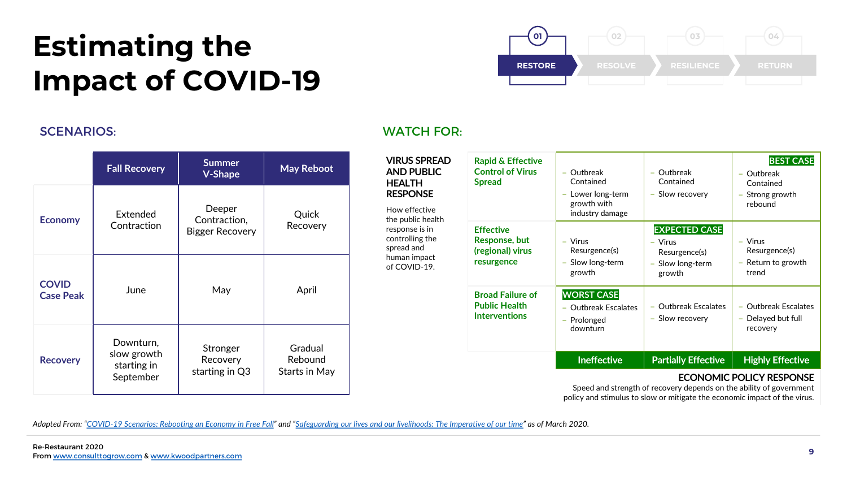## Estimating the Impact of COVID-19



|                                  | <b>Fall Recovery</b>                                 | <b>Summer</b><br><b>V-Shape</b>                  | <b>May Reboot</b>                   |
|----------------------------------|------------------------------------------------------|--------------------------------------------------|-------------------------------------|
| <b>Economy</b>                   | Extended<br>Contraction                              | Deeper<br>Contraction,<br><b>Bigger Recovery</b> | Quick<br>Recovery                   |
| <b>COVID</b><br><b>Case Peak</b> | June                                                 | May                                              | April                               |
| <b>Recovery</b>                  | Downturn,<br>slow growth<br>starting in<br>September | Stronger<br>Recovery<br>starting in Q3           | Gradual<br>Rebound<br>Starts in May |

### SCENARIOS: WATCH FOR:

| <b>VIRUS SPREAD</b><br><b>AND PUBLIC</b><br><b>HEALTH</b><br><b>RESPONSE</b><br>How effective<br>the public health | <b>Rapid &amp; Effective</b><br><b>Control of Virus</b><br><b>Spread</b>   | Outbreak<br>Contained<br>Lower long-term<br>growth with<br>industry damage | - Outbreak<br>Contained<br>- Slow recovery                                       | <b>BEST CASE</b><br>- Outbreak<br>Contained<br>- Strong growth<br>rebound |
|--------------------------------------------------------------------------------------------------------------------|----------------------------------------------------------------------------|----------------------------------------------------------------------------|----------------------------------------------------------------------------------|---------------------------------------------------------------------------|
| response is in<br>controlling the<br>spread and<br>human impact<br>of COVID-19.                                    | <b>Effective</b><br><b>Response, but</b><br>(regional) virus<br>resurgence | $-$ Virus<br>Resurgence(s)<br>Slow long-term<br>growth                     | <b>EXPECTED CASE</b><br>$-$ Virus<br>Resurgence(s)<br>- Slow long-term<br>growth | $-$ Virus<br>Resurgence(s)<br>- Return to growth<br>trend                 |
|                                                                                                                    | <b>Broad Failure of</b><br><b>Public Health</b><br><b>Interventions</b>    | <b>WORST CASE</b><br>- Outbreak Escalates<br>Prolonged<br>downturn         | - Outbreak Escalates<br>- Slow recovery                                          | - Outbreak Escalates<br>- Delayed but full<br>recovery                    |
|                                                                                                                    |                                                                            | <b>Ineffective</b>                                                         | <b>Partially Effective</b>                                                       | <b>Highly Effective</b>                                                   |

### ECONOMIC POLICY RESPONSE

Speed and strength of recovery depends on the ability of government policy and stimulus to slow or mitigate the economic impact of the virus.

Adapted From: ["COVID-19 Scenarios: Rebooting an Economy in Free Fall](https://www.conference-board.org/economy-watch-US)" and "[Safeguarding our lives and our livelihoods: The Imperative of our time"](https://www.mckinsey.com/business-functions/strategy-and-corporate-finance/our-insights/safeguarding-our-lives-and-our-livelihoods-the-imperative-of-our-time) as of March 2020.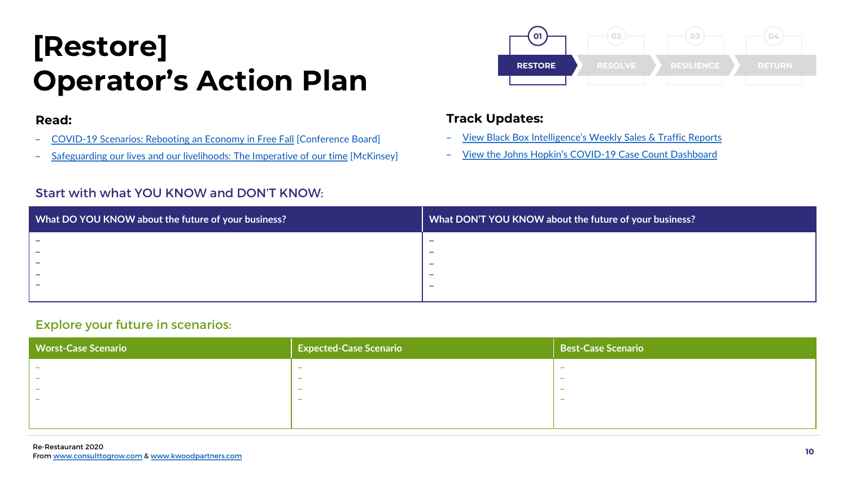## [Restore] Operator's Action Plan

### Read:

- [COVID-19 Scenarios: Rebooting an Economy in Free Fall](https://www.conference-board.org/economy-watch-US) [Conference Board]
- [Safeguarding our lives and our livelihoods: The Imperative of our time](https://www.mckinsey.com/business-functions/strategy-and-corporate-finance/our-insights/safeguarding-our-lives-and-our-livelihoods-the-imperative-of-our-time) [McKinsey]

### Start with what YOU KNOW and DON'T KNOW:



### Track Updates:

- ‒ [View Black Box Intelligence's Weekly Sales & Traffic Reports](https://blackboxintelligence.com/restaurant-industry-news/the-black-box-perspective-on-coronavirus/)
- ‒ [View the Johns Hopkin's COVID-19 Case Count Dashboard](https://bit.ly/3cbxzZF)

| What DO YOU KNOW about the future of your business? | What DON'T YOU KNOW about the future of your business? |
|-----------------------------------------------------|--------------------------------------------------------|
|                                                     |                                                        |
|                                                     |                                                        |
|                                                     |                                                        |
|                                                     |                                                        |
|                                                     |                                                        |
|                                                     |                                                        |

### Explore your future in scenarios:

| <b>Worst-Case Scenario</b> | Expected-Case Scenario   | Best-Case Scenario       |
|----------------------------|--------------------------|--------------------------|
|                            | $\overline{\phantom{0}}$ | $\overline{\phantom{0}}$ |
|                            | $\overline{\phantom{0}}$ | $\overline{\phantom{0}}$ |
| <b>.</b>                   | $\overline{\phantom{0}}$ | $\overline{\phantom{0}}$ |
| $\sim$                     | $\overline{\phantom{0}}$ | $\overline{\phantom{0}}$ |
|                            |                          |                          |
|                            |                          |                          |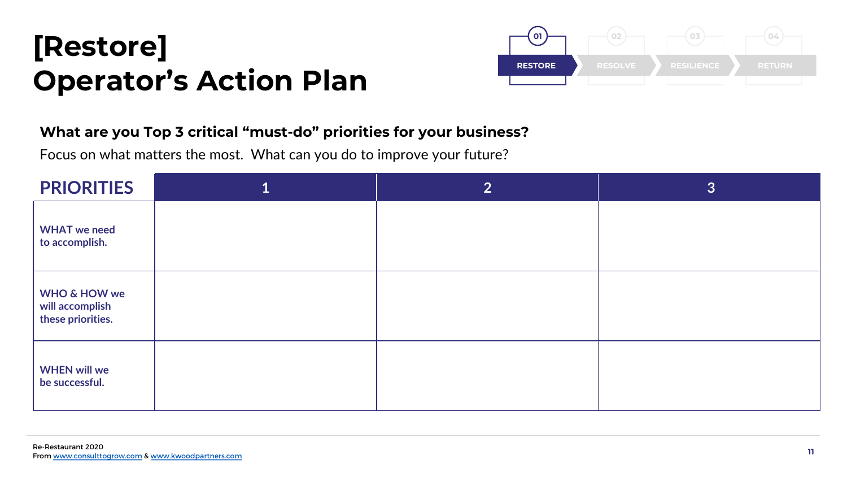## [Restore] Operator's Action Plan



## What are you Top 3 critical "must-do" priorities for your business?

Focus on what matters the most. What can you do to improve your future?

| <b>PRIORITIES</b>                                               | 2 <sup>1</sup> | 3 |
|-----------------------------------------------------------------|----------------|---|
| <b>WHAT</b> we need<br>to accomplish.                           |                |   |
| <b>WHO &amp; HOW we</b><br>will accomplish<br>these priorities. |                |   |
| <b>WHEN will we</b><br>be successful.                           |                |   |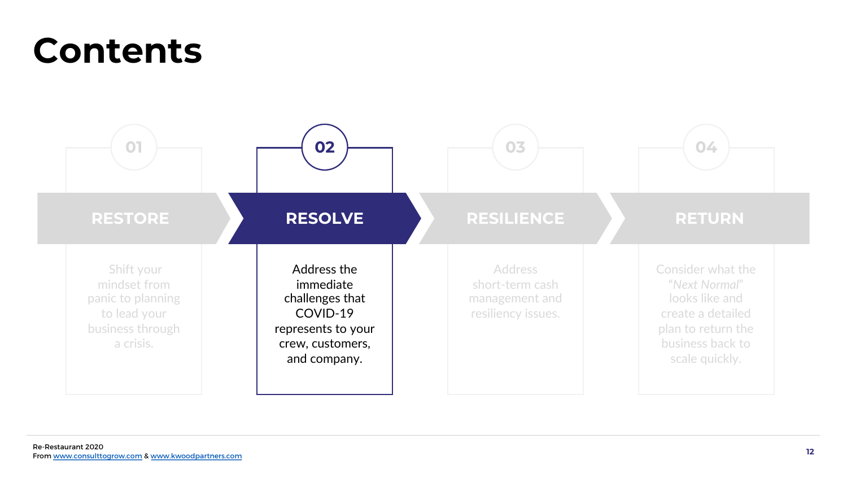## Contents

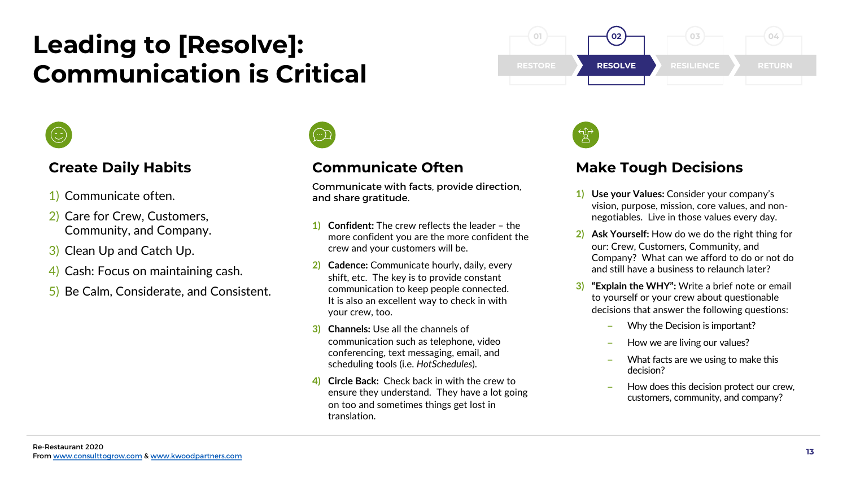## Leading to [Resolve]: Communication is Critical RESTORE



## Create Daily Habits

- 1) Communicate often.
- 2) Care for Crew, Customers, Community, and Company.
- 3) Clean Up and Catch Up.
- 4) Cash: Focus on maintaining cash.
- 5) Be Calm, Considerate, and Consistent.



## Communicate Often

Communicate with facts, provide direction, and share gratitude.<br>1) Use your Values: Consider your company's

- **Confident:** The crew reflects the leader the more confident you are the more confident the crew and your customers will be.
- 2) Cadence: Communicate hourly, daily, every shift, etc. The key is to provide constant communication to keep people connected. It is also an excellent way to check in with your crew, too.
- 3) Channels: Use all the channels of communication such as telephone, video conferencing, text messaging, email, and scheduling tools (i.e. HotSchedules).
- 4) Circle Back: Check back in with the crew to ensure they understand. They have a lot going on too and sometimes things get lost in translation.





## Make Tough Decisions

- vision, purpose, mission, core values, and nonnegotiables. Live in those values every day.
- 2) Ask Yourself: How do we do the right thing for our: Crew, Customers, Community, and Company? What can we afford to do or not do and still have a business to relaunch later?
- 3) "Explain the WHY": Write a brief note or email to yourself or your crew about questionable decisions that answer the following questions:
	- Why the Decision is important?
	- How we are living our values?
	- What facts are we using to make this decision?
	- How does this decision protect our crew. customers, community, and company?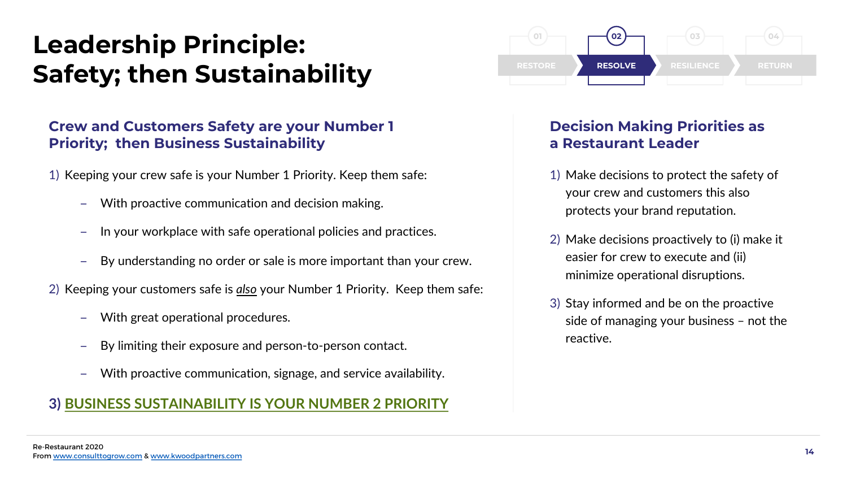## Leadership Principle: Safety; then Sustainability **RESTORE**

## Crew and Customers Safety are your Number 1 Priority; then Business Sustainability

1) Keeping your crew safe is your Number 1 Priority. Keep them safe:

- With proactive communication and decision making.
- ‒ In your workplace with safe operational policies and practices.
- ‒ By understanding no order or sale is more important than your crew.
- 2) Keeping your customers safe is also your Number 1 Priority. Keep them safe:
	- With great operational procedures.
	- By limiting their exposure and person-to-person contact.
	- With proactive communication, signage, and service availability.

## 3) BUSINESS SUSTAINABILITY IS YOUR NUMBER 2 PRIORITY



## Decision Making Priorities as a Restaurant Leader

- 1) Make decisions to protect the safety of your crew and customers this also protects your brand reputation.
- 2) Make decisions proactively to (i) make it easier for crew to execute and (ii) minimize operational disruptions.
- 3) Stay informed and be on the proactive side of managing your business – not the reactive.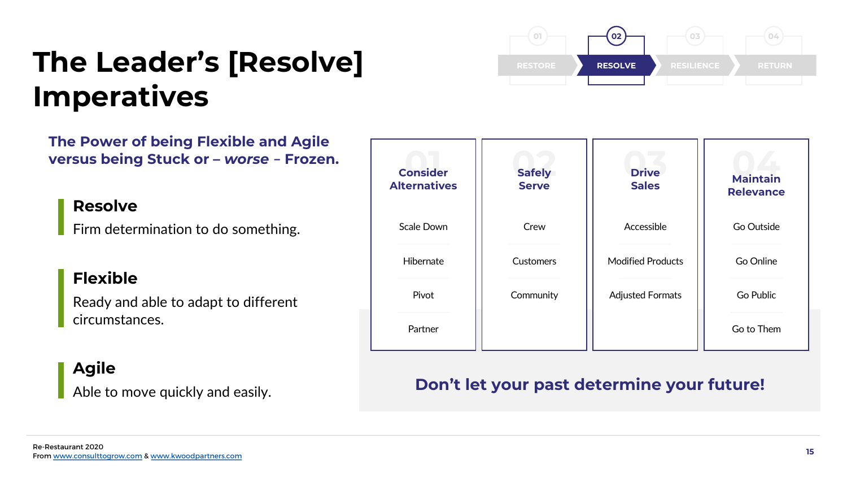## The Leader's [Resolve] Imperatives



The Power of being Flexible and Agile versus being Stuck or – *worse* – Frozen.

## Resolve

Firm determination to do something.

## Flexible

Ready and able to adapt to different circumstances.

## Agile

Able to move quickly and easily.

| <b>Consider</b><br><b>Alternatives</b> | <b>Safely</b><br><b>Serve</b> | <b>Drive</b><br><b>Sales</b> | <b>Maintain</b><br><b>Relevance</b> |
|----------------------------------------|-------------------------------|------------------------------|-------------------------------------|
| <b>Scale Down</b>                      | Crew                          | Accessible                   | Go Outside                          |
| Hibernate                              | <b>Customers</b>              | <b>Modified Products</b>     | Go Online                           |
| Pivot                                  | Community                     | <b>Adjusted Formats</b>      | Go Public                           |
| Partner                                |                               |                              | Go to Them                          |

## Don't let your past determine your future!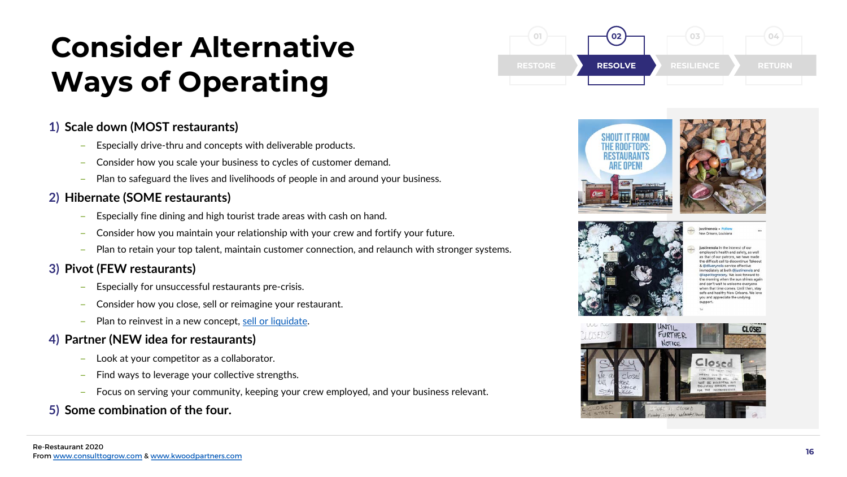## Consider Alternative Ways of Operating

## 1) Scale down (MOST restaurants)

- ‒ Especially drive-thru and concepts with deliverable products.
- ‒ Consider how you scale your business to cycles of customer demand.
- ‒ Plan to safeguard the lives and livelihoods of people in and around your business.

## 2) Hibernate (SOME restaurants)

- ‒ Especially fine dining and high tourist trade areas with cash on hand.
- ‒ Consider how you maintain your relationship with your crew and fortify your future.
- ‒ Plan to retain your top talent, maintain customer connection, and relaunch with stronger systems.

## 3) Pivot (FEW restaurants)

- ‒ Especially for unsuccessful restaurants pre-crisis.
- ‒ Consider how you close, sell or reimagine your restaurant.
- Plan to reinvest in a new concept, [sell or liquidate](https://www.sba.gov/business-guide/manage-your-business/close-or-sell-your-business).

## 4) Partner (NEW idea for restaurants)

- ‒ Look at your competitor as a collaborator.
- ‒ Find ways to leverage your collective strengths.
- ‒ Focus on serving your community, keeping your crew employed, and your business relevant.
- 5) Some combination of the four.







New Orleans, Louisiana stinenola In the interest of ou

mployee's health and safety, as well as that of our patrons, we have made the difficult call to discontinue Takeou @dliverynola service effective nediately at both @justinenola an lapetitegrocery. We look forward to he morning when the sun shines again and can't wait to welcome everyone when that time comes. Until then, stay safe and healthy New Orleans. We love you and appreciate the undying

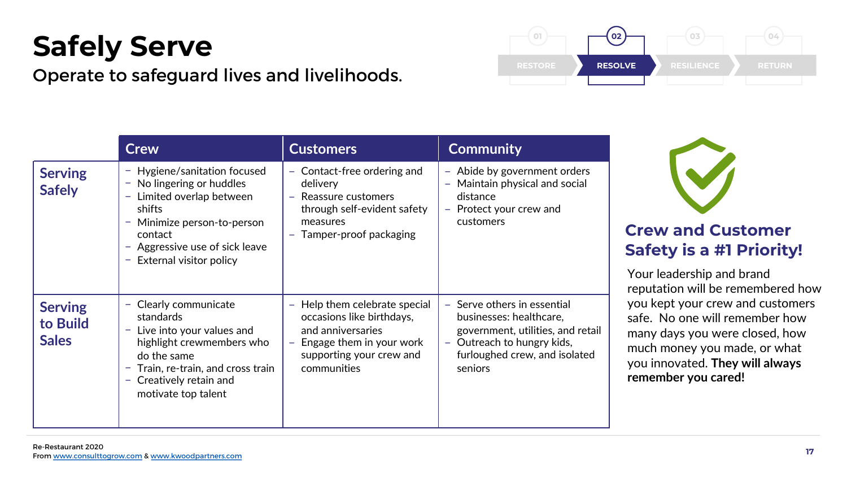## Safely Serve

Operate to safeguard lives and livelihoods.

|                                            | <b>Crew</b>                                                                                                                                                                                              | <b>Customers</b>                                                                                                                                                 | <b>Community</b>                                                                                                                                                                |
|--------------------------------------------|----------------------------------------------------------------------------------------------------------------------------------------------------------------------------------------------------------|------------------------------------------------------------------------------------------------------------------------------------------------------------------|---------------------------------------------------------------------------------------------------------------------------------------------------------------------------------|
| <b>Serving</b><br><b>Safely</b>            | - Hygiene/sanitation focused<br>- No lingering or huddles<br>Limited overlap between<br>-<br>shifts<br>Minimize person-to-person<br>contact<br>- Aggressive use of sick leave<br>External visitor policy | - Contact-free ordering and<br>delivery<br>Reassure customers<br>through self-evident safety<br>measures<br>Tamper-proof packaging                               | - Abide by government orders<br>- Maintain physical and social<br>distance<br>- Protect your crew and<br>customers                                                              |
| <b>Serving</b><br>to Build<br><b>Sales</b> | Clearly communicate<br>-<br>standards<br>Live into your values and<br>highlight crewmembers who<br>do the same<br>Train, re-train, and cross train<br>- Creatively retain and<br>motivate top talent     | Help them celebrate special<br>$\equiv$<br>occasions like birthdays,<br>and anniversaries<br>Engage them in your work<br>supporting your crew and<br>communities | - Serve others in essential<br>businesses: healthcare,<br>government, utilities, and retail<br>Outreach to hungry kids,<br>$\equiv$<br>furloughed crew, and isolated<br>seniors |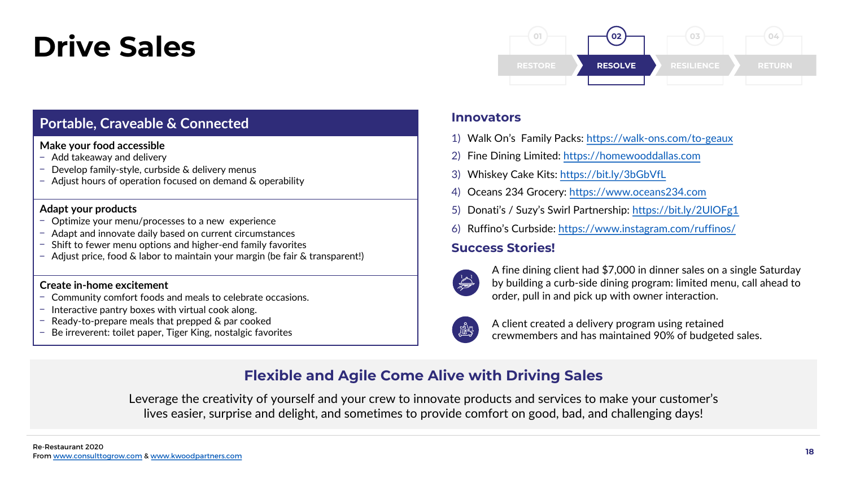## Drive Sales

## Portable, Craveable & Connected

### Make your food accessible

- Add takeaway and delivery
- $\overline{z}$  Develop family-style, curbside & delivery menus
- Adjust hours of operation focused on demand & operability

### Adapt your products

- ‒ Optimize your menu/processes to a new experience
- ‒ Adapt and innovate daily based on current circumstances
- Shift to fewer menu options and higher-end family favorites
- Adjust price, food & labor to maintain your margin (be fair & transparent!)

### Create in-home excitement

- ‒ Community comfort foods and meals to celebrate occasions.
- $-$  Interactive pantry boxes with virtual cook along.
- $-$  Ready-to-prepare meals that prepped  $\&$  par cooked
- Be irreverent: toilet paper, Tiger King, nostalgic favorites



### **Innovators**

- 1) Walk On's Family Packs: <https://walk-ons.com/to-geaux>
- 2) Fine Dining Limited: [https://homewooddallas.com](https://homewooddallas.com/)
- 3) Whiskey Cake Kits: <https://bit.ly/3bGbVfL>
- 4) Oceans 234 Grocery: [https://www.oceans234.com](https://www.oceans234.com/)
- 5) Donati's / Suzy's Swirl Partnership: <https://bit.ly/2UlOFg1>
- 6) Ruffino's Curbside:<https://www.instagram.com/ruffinos/>

## Success Stories!



A fine dining client had \$7,000 in dinner sales on a single Saturday by building a curb-side dining program: limited menu, call ahead to order, pull in and pick up with owner interaction.



A client created a delivery program using retained crewmembers and has maintained 90% of budgeted sales.

## Flexible and Agile Come Alive with Driving Sales

Leverage the creativity of yourself and your crew to innovate products and services to make your customer's lives easier, surprise and delight, and sometimes to provide comfort on good, bad, and challenging days!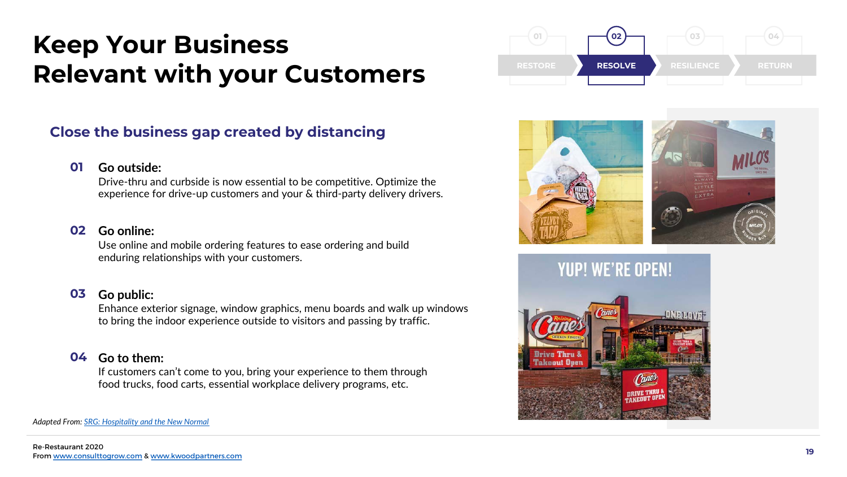## Keep Your Business Relevant with your Customers

## Close the business gap created by distancing

#### Go outside: 01

Drive-thru and curbside is now essential to be competitive. Optimize the experience for drive-up customers and your & third-party delivery drivers.

#### Go online: 02

Use online and mobile ordering features to ease ordering and build enduring relationships with your customers.

#### Go public: 03

Enhance exterior signage, window graphics, menu boards and walk up windows to bring the indoor experience outside to visitors and passing by traffic.

### **04** Go to them:

If customers can't come to you, bring your experience to them through food trucks, food carts, essential workplace delivery programs, etc.





![](_page_18_Picture_12.jpeg)

Adapted From: [SRG: Hospitality and the New Normal](https://www.consulttogrow.com/wp-content/uploads/2020/04/SRG_HospitalityandtheNewNormal_3.20201.pdf)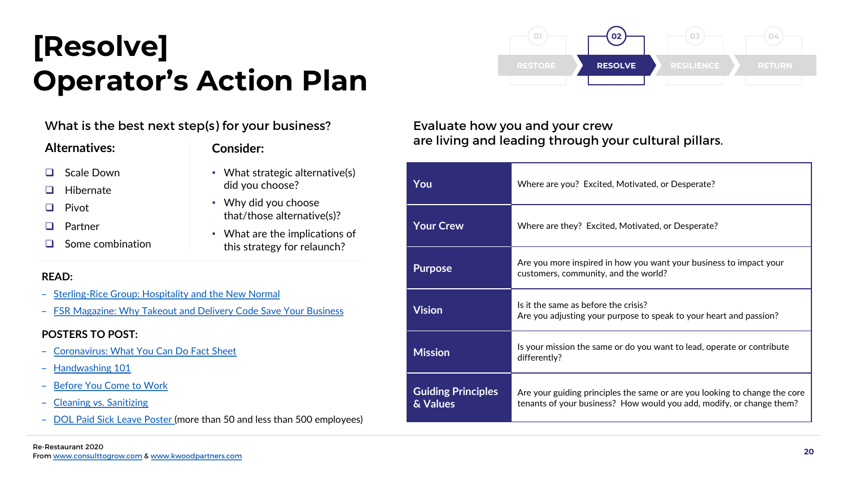## [Resolve] Operator's Action Plan

What is the best next step(s) for your business?

### Alternatives:

### Consider:

- **Q** Scale Down
- $\Box$  Hibernate
- $\Box$  Pivot
- **Q** Partner
- $\Box$  Some combination
- What strategic alternative(s)
- did you choose? • Why did you choose that/those alternative(s)?
- What are the implications of this strategy for relaunch?

## READ:

- ‒ [Sterling-Rice Group: Hospitality and the New Normal](https://www.consulttogrow.com/wp-content/uploads/2020/04/SRG_HospitalityandtheNewNormal_3.20201-1.pdf)
- ‒ [FSR Magazine: Why Takeout and Delivery Code Save Your Business](https://www.fsrmagazine.com/expert-takes/why-takeout-and-delivery-only-model-could-save-your-restaurant)

### POSTERS TO POST:

- ‒ [Coronavirus: What You Can Do Fact Sheet](https://foodsafetyfocus.com/FoodSafetyFocus/media/Library/pdfs/Coronavirus_2019-nCoV_Info_TipsforRestaurants.pdf)
- ‒ [Handwashing 101](https://www.foodsafetyfocus.com/FoodSafetyFocus/media/Library/pdfs/Handwashing.pdf)
- [Before You Come to Work](https://foodsafetyfocus.com/FoodSafetyFocus/media/Library/pdfs/Before-You-Come-To-Work.pdf)
- ‒ [Cleaning vs. Sanitizing](https://www.foodsafetyfocus.com/FoodSafetyFocus/media/Library/pdfs/Cleaning-vs-Sanitizing.pdf)
- [DOL Paid Sick Leave Poster \(](https://www.dol.gov/sites/dolgov/files/WHD/posters/FFCRA_Poster_WH1422_Non-Federal.pdf)more than 50 and less than 500 employees)

#### RESTORE 01 RESOLVE  $\overline{02}$ RESILIENCE 03 RETURN 04

## Evaluate how you and your crew are living and leading through your cultural pillars.

| You                                   | Where are you? Excited, Motivated, or Desperate?                                                                                                   |  |
|---------------------------------------|----------------------------------------------------------------------------------------------------------------------------------------------------|--|
| <b>Your Crew</b>                      | Where are they? Excited, Motivated, or Desperate?                                                                                                  |  |
| <b>Purpose</b>                        | Are you more inspired in how you want your business to impact your<br>customers, community, and the world?                                         |  |
| <b>Vision</b>                         | Is it the same as before the crisis?<br>Are you adjusting your purpose to speak to your heart and passion?                                         |  |
| <b>Mission</b>                        | Is your mission the same or do you want to lead, operate or contribute<br>differently?                                                             |  |
| <b>Guiding Principles</b><br>& Values | Are your guiding principles the same or are you looking to change the core<br>tenants of your business? How would you add, modify, or change them? |  |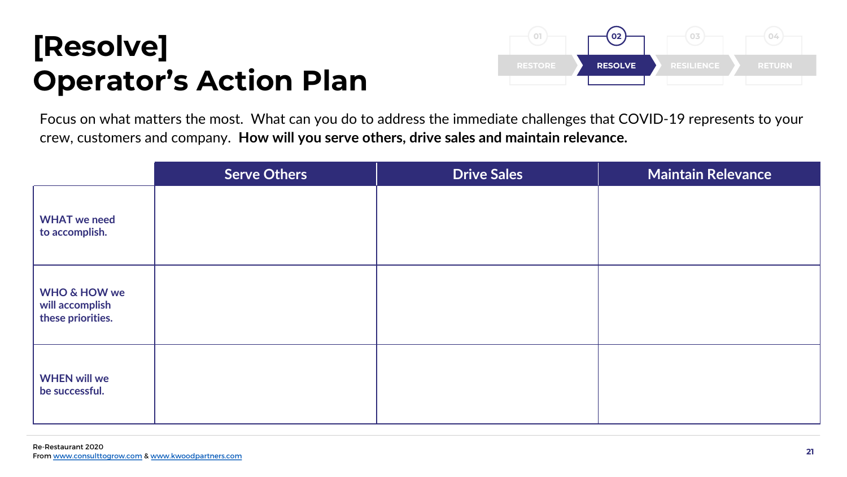## [Resolve] Operator's Action Plan

![](_page_20_Figure_1.jpeg)

Focus on what matters the most. What can you do to address the immediate challenges that COVID-19 represents to your crew, customers and company. How will you serve others, drive sales and maintain relevance.

|                                                                 | <b>Serve Others</b> | <b>Drive Sales</b> | <b>Maintain Relevance</b> |
|-----------------------------------------------------------------|---------------------|--------------------|---------------------------|
| <b>WHAT</b> we need<br>to accomplish.                           |                     |                    |                           |
| <b>WHO &amp; HOW we</b><br>will accomplish<br>these priorities. |                     |                    |                           |
| <b>WHEN will we</b><br>be successful.                           |                     |                    |                           |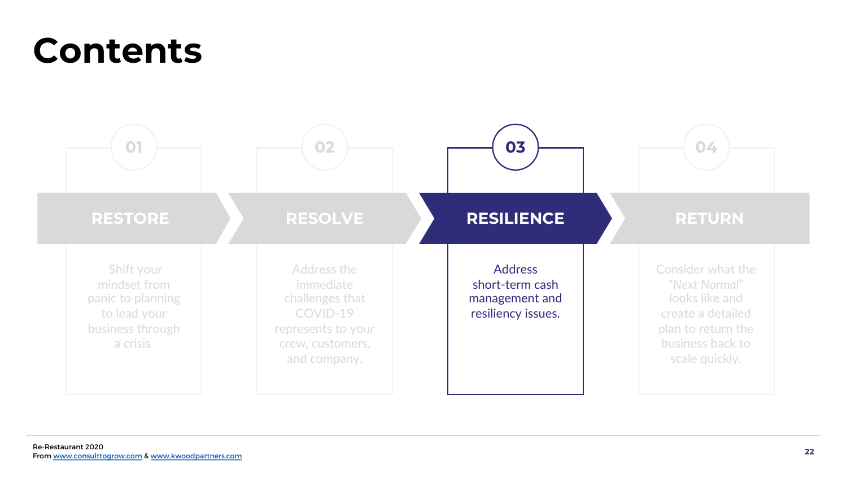## Contents

![](_page_21_Figure_1.jpeg)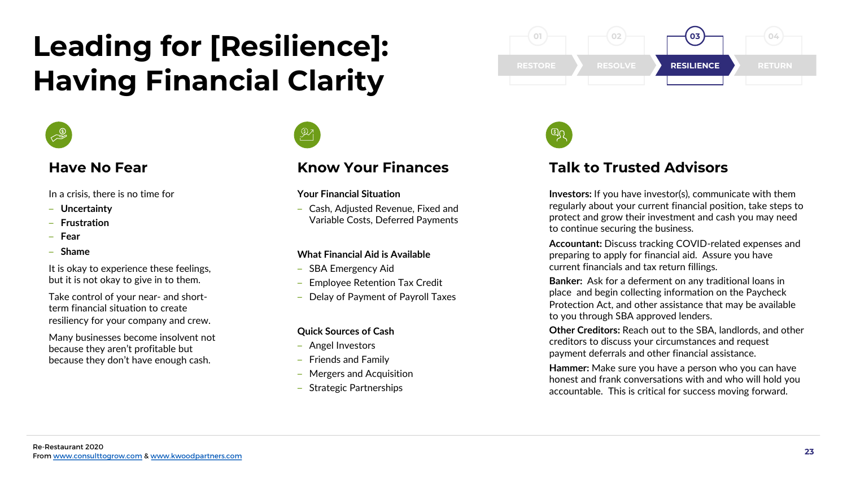## Leading for [Resilience]: Having Financial Clarity

![](_page_22_Picture_1.jpeg)

## Have No Fear

In a crisis, there is no time for

- ‒ Uncertainty
- **Frustration**
- ‒ Fear
- $-$  Shame

It is okay to experience these feelings, but it is not okay to give in to them.

Take control of your near- and shortterm financial situation to create resiliency for your company and crew.

Many businesses become insolvent not because they aren't profitable but because they don't have enough cash.

![](_page_22_Picture_11.jpeg)

## Know Your Finances

### Your Financial Situation

‒ Cash, Adjusted Revenue, Fixed and Variable Costs, Deferred Payments

### What Financial Aid is Available

- SBA Emergency Aid
- Employee Retention Tax Credit
- Delay of Payment of Payroll Taxes

### Quick Sources of Cash

- ‒ Angel Investors
- ‒ Friends and Family
- ‒ Mergers and Acquisition
- ‒ Strategic Partnerships

![](_page_22_Figure_24.jpeg)

![](_page_22_Picture_25.jpeg)

## Talk to Trusted Advisors

Investors: If you have investor(s), communicate with them regularly about your current financial position, take steps to protect and grow their investment and cash you may need to continue securing the business.

Accountant: Discuss tracking COVID-related expenses and preparing to apply for financial aid. Assure you have current financials and tax return fillings.

Banker: Ask for a deferment on any traditional loans in place and begin collecting information on the Paycheck Protection Act, and other assistance that may be available to you through SBA approved lenders.

Other Creditors: Reach out to the SBA, landlords, and other creditors to discuss your circumstances and request payment deferrals and other financial assistance.

Hammer: Make sure you have a person who you can have honest and frank conversations with and who will hold you accountable. This is critical for success moving forward.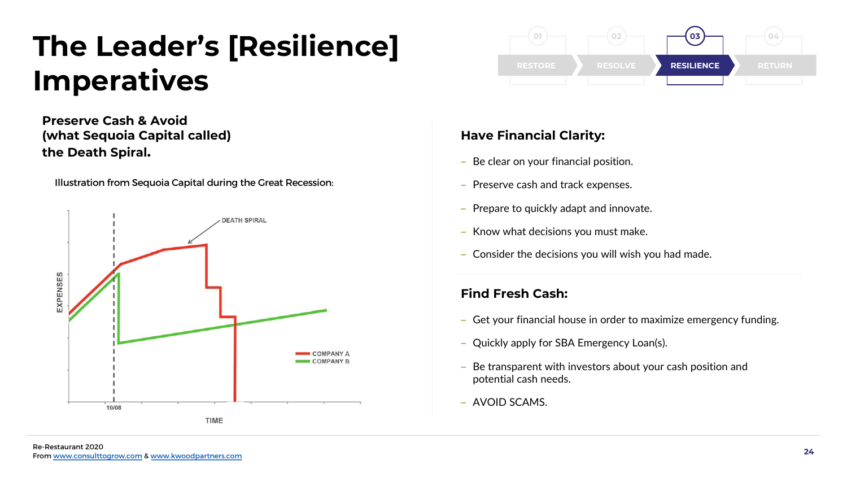## The Leader's [Resilience] Imperatives

Preserve Cash & Avoid (what Sequoia Capital called) the Death Spiral.

Illustration from Sequoia Capital during the Great Recession:

![](_page_23_Figure_3.jpeg)

![](_page_23_Figure_4.jpeg)

## Have Financial Clarity:

- Be clear on your financial position.
- ‒ Preserve cash and track expenses.
- ‒ Prepare to quickly adapt and innovate.
- Know what decisions you must make.
- ‒ Consider the decisions you will wish you had made.

## Find Fresh Cash:

- ‒ Get your financial house in order to maximize emergency funding.
- ‒ Quickly apply for SBA Emergency Loan(s).
- ‒ Be transparent with investors about your cash position and potential cash needs.
- ‒ AVOID SCAMS.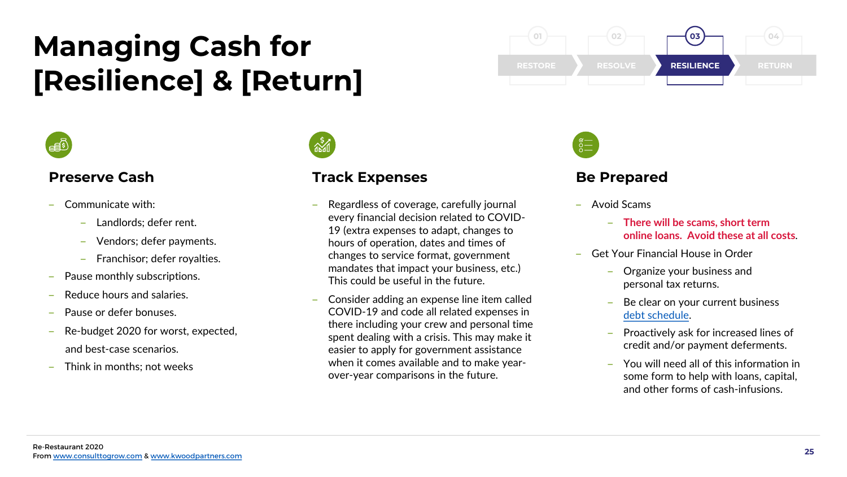## Managing Cash for **[Resilience] & [Return]**

![](_page_24_Picture_1.jpeg)

## Preserve Cash

- ‒ Communicate with:
	- Landlords: defer rent.
	- ‒ Vendors; defer payments.
	- ‒ Franchisor; defer royalties.
- Pause monthly subscriptions.
- ‒ Reduce hours and salaries.
- ‒ Pause or defer bonuses.
- ‒ Re-budget 2020 for worst, expected, and best-case scenarios.
- ‒ Think in months; not weeks

![](_page_24_Picture_12.jpeg)

## Track Expenses

- ‒ Regardless of coverage, carefully journal every financial decision related to COVID-19 (extra expenses to adapt, changes to hours of operation, dates and times of changes to service format, government mandates that impact your business, etc.) This could be useful in the future.
- ‒ Consider adding an expense line item called COVID-19 and code all related expenses in there including your crew and personal time spent dealing with a crisis. This may make it easier to apply for government assistance when it comes available and to make yearover-year comparisons in the future.

![](_page_24_Figure_16.jpeg)

![](_page_24_Picture_17.jpeg)

## Be Prepared

- ‒ Avoid Scams
	- ‒ There will be scams, short term online loans. Avoid these at all costs.
- ‒ Get Your Financial House in Order
	- ‒ Organize your business and personal tax returns.
	- Be clear on your current business [debt schedule.](https://www.consulttogrow.com/wp-content/uploads/2020/04/Debt-Summary.xlsx)
	- ‒ Proactively ask for increased lines of credit and/or payment deferments.
	- ‒ You will need all of this information in some form to help with loans, capital, and other forms of cash-infusions.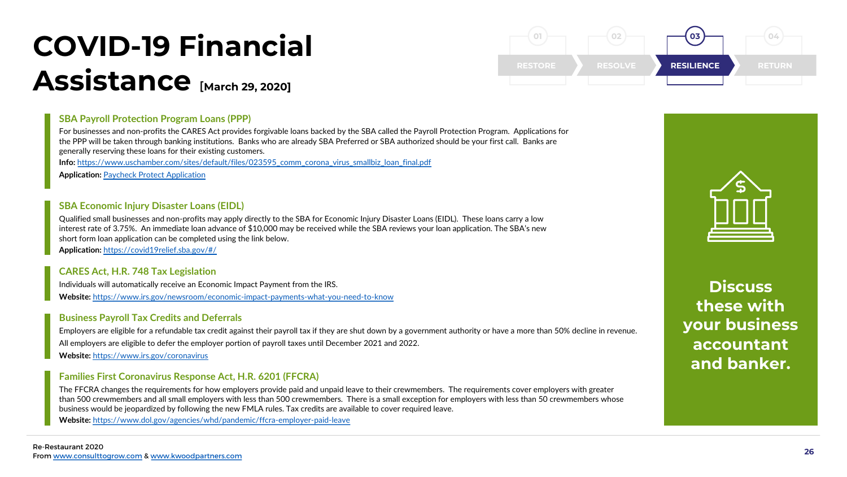## COVID-19 Financial Assistance [March 29, 2020]

### SBA Payroll Protection Program Loans (PPP)

For businesses and non-profits the CARES Act provides forgivable loans backed by the SBA called the Payroll Protection Program. Applications for the PPP will be taken through banking institutions. Banks who are already SBA Preferred or SBA authorized should be your first call. Banks are generally reserving these loans for their existing customers.

Info: [https://www.uschamber.com/sites/default/files/023595\\_comm\\_corona\\_virus\\_smallbiz\\_loan\\_final.pdf](https://www.uschamber.com/sites/default/files/023595_comm_corona_virus_smallbiz_loan_final.pdf)

Application: [Paycheck Protect Application](https://home.treasury.gov/policy-issues/top-priorities/cares-act/assistance-for-small-businesses)

### SBA Economic Injury Disaster Loans (EIDL)

Qualified small businesses and non-profits may apply directly to the SBA for Economic Injury Disaster Loans (EIDL). These loans carry a low interest rate of 3.75%. An immediate loan advance of \$10,000 may be received while the SBA reviews your loan application. The SBA's new short form loan application can be completed using the link below.

Application: [https://covid19relief.sba.gov/#/](https://covid19relief.sba.gov/)

### CARES Act, H.R. 748 Tax Legislation

Individuals will automatically receive an Economic Impact Payment from the IRS. Website: <https://www.irs.gov/newsroom/economic-impact-payments-what-you-need-to-know>

### Business Payroll Tax Credits and Deferrals

Employers are eligible for a refundable tax credit against their payroll tax if they are shut down by a government authority or have a more than 50% decline in revenue. All employers are eligible to defer the employer portion of payroll taxes until December 2021 and 2022. Website: <https://www.irs.gov/coronavirus>

### Families First Coronavirus Response Act, H.R. 6201 (FFCRA)

The FFCRA changes the requirements for how employers provide paid and unpaid leave to their crewmembers. The requirements cover employers with greater than 500 crewmembers and all small employers with less than 500 crewmembers. There is a small exception for employers with less than 50 crewmembers whose business would be jeopardized by following the new FMLA rules. Tax credits are available to cover required leave.

Website: <https://www.dol.gov/agencies/whd/pandemic/ffcra-employer-paid-leave>

![](_page_25_Picture_16.jpeg)

![](_page_25_Picture_17.jpeg)

**Discuss** these with your business accountant and banker.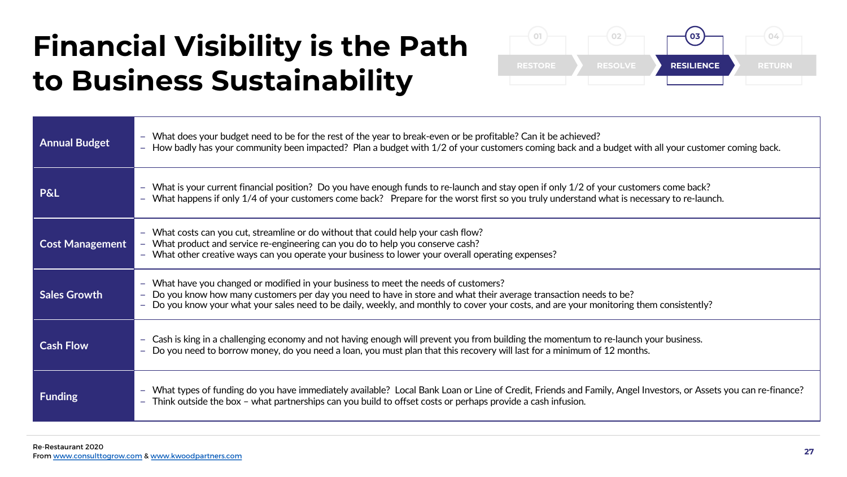## Financial Visibility is the Path to Business Sustainability

![](_page_26_Figure_1.jpeg)

| <b>Annual Budget</b>   | - What does your budget need to be for the rest of the year to break-even or be profitable? Can it be achieved?<br>- How badly has your community been impacted? Plan a budget with 1/2 of your customers coming back and a budget with all your customer coming back.                                                                                 |
|------------------------|--------------------------------------------------------------------------------------------------------------------------------------------------------------------------------------------------------------------------------------------------------------------------------------------------------------------------------------------------------|
| <b>P&amp;L</b>         | - What is your current financial position? Do you have enough funds to re-launch and stay open if only 1/2 of your customers come back?<br>- What happens if only 1/4 of your customers come back? Prepare for the worst first so you truly understand what is necessary to re-launch.                                                                 |
| <b>Cost Management</b> | - What costs can you cut, streamline or do without that could help your cash flow?<br>- What product and service re-engineering can you do to help you conserve cash?<br>- What other creative ways can you operate your business to lower your overall operating expenses?                                                                            |
| <b>Sales Growth</b>    | - What have you changed or modified in your business to meet the needs of customers?<br>- Do you know how many customers per day you need to have in store and what their average transaction needs to be?<br>- Do you know your what your sales need to be daily, weekly, and monthly to cover your costs, and are your monitoring them consistently? |
| <b>Cash Flow</b>       | - Cash is king in a challenging economy and not having enough will prevent you from building the momentum to re-launch your business.<br>- Do you need to borrow money, do you need a loan, you must plan that this recovery will last for a minimum of 12 months.                                                                                     |
| <b>Funding</b>         | - What types of funding do you have immediately available? Local Bank Loan or Line of Credit, Friends and Family, Angel Investors, or Assets you can re-finance?<br>$-$ Think outside the box $-$ what partnerships can you build to offset costs or perhaps provide a cash infusion.                                                                  |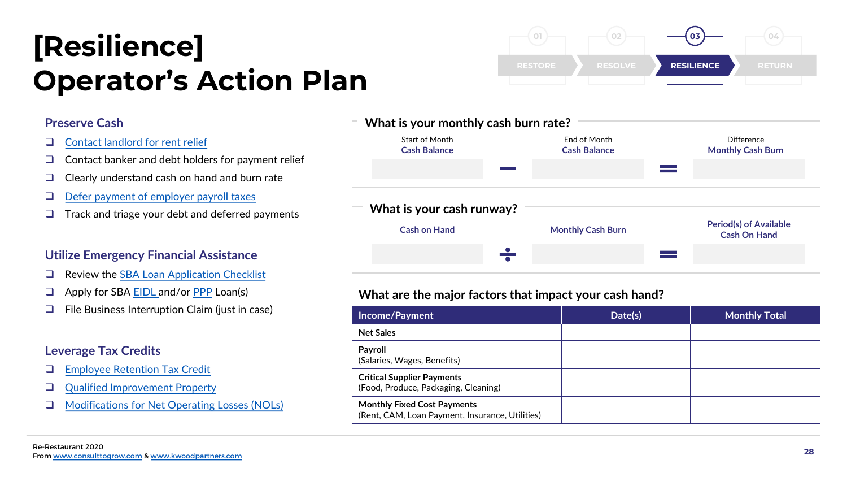## [Resilience] Operator's Action Plan

### Preserve Cash

- $\Box$  [Contact landlord for rent relief](https://www.archonca.com/blog/the-tenants-guide-to-rent-relief/)
- $\Box$  Contact banker and debt holders for payment relief
- $\Box$  Clearly understand cash on hand and burn rate
- $\Box$  Defer payment of employer payroll taxes
- $\Box$  Track and triage your debt and deferred payments

### Utilize Emergency Financial Assistance

- $\Box$  Review the [SBA Loan Application Checklist](https://www.sba.gov/sites/default/files/oed_files/7a_Checklist.pdf)
- **Q** Apply for SBA [EIDL a](https://covid19relief.sba.gov/)nd/or [PPP](https://home.treasury.gov/policy-issues/top-priorities/cares-act/assistance-for-small-businesses) Loan(s)
- $\Box$  File Business Interruption Claim (just in case)

## Leverage Tax Credits

- **Q** [Employee Retention Tax Credit](https://www.irs.gov/newsroom/faqs-employee-retention-credit-under-the-cares-act)
- **[Qualified Improvement Property](https://www.elliottdavis.com/cares-act-expands-bonus-depreciation-qualified-improvement-property/)**
- **□** [Modifications for Net Operating Losses \(NOLs\)](https://www.manatt.com/Insights/Newsletters/COVID-19-Update/Delay-of-Payment-of-Employer-Payroll-Taxes)

![](_page_27_Figure_15.jpeg)

RESOLVE

RESILIENCE

RETURN

04

03

02

## What are the major factors that impact your cash hand?

01

| Income/Payment                                                                        | Date(s) | <b>Monthly Total</b> |
|---------------------------------------------------------------------------------------|---------|----------------------|
| <b>Net Sales</b>                                                                      |         |                      |
| Payroll<br>(Salaries, Wages, Benefits)                                                |         |                      |
| <b>Critical Supplier Payments</b><br>(Food, Produce, Packaging, Cleaning)             |         |                      |
| <b>Monthly Fixed Cost Payments</b><br>(Rent, CAM, Loan Payment, Insurance, Utilities) |         |                      |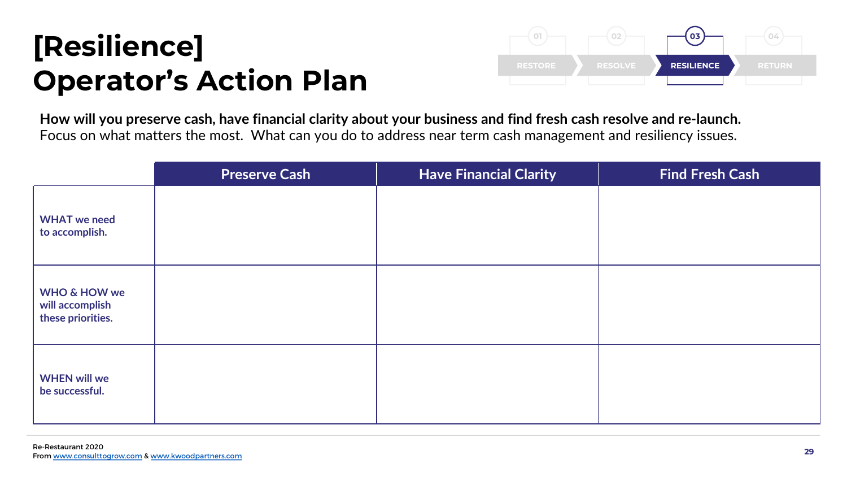## [Resilience] Operator's Action Plan

![](_page_28_Picture_1.jpeg)

How will you preserve cash, have financial clarity about your business and find fresh cash resolve and re-launch. Focus on what matters the most. What can you do to address near term cash management and resiliency issues.

|                                                                 | <b>Preserve Cash</b> | <b>Have Financial Clarity</b> | <b>Find Fresh Cash</b> |
|-----------------------------------------------------------------|----------------------|-------------------------------|------------------------|
| <b>WHAT</b> we need<br>to accomplish.                           |                      |                               |                        |
| <b>WHO &amp; HOW we</b><br>will accomplish<br>these priorities. |                      |                               |                        |
| <b>WHEN will we</b><br>be successful.                           |                      |                               |                        |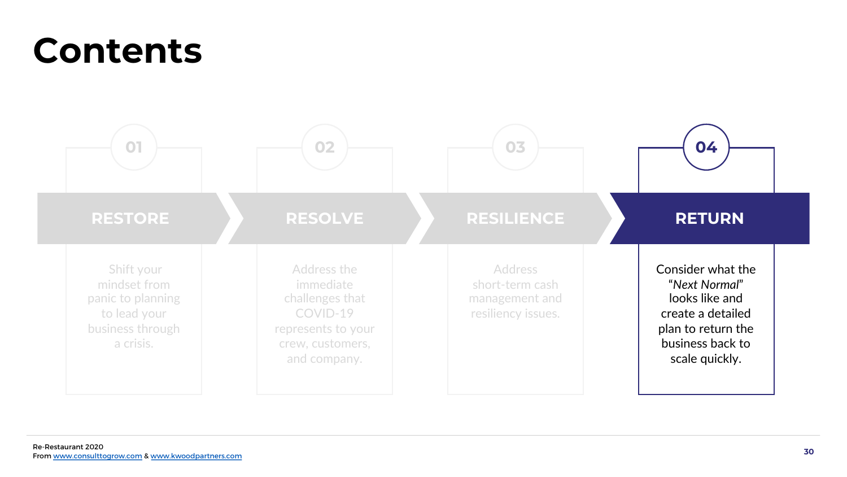## Contents

![](_page_29_Figure_1.jpeg)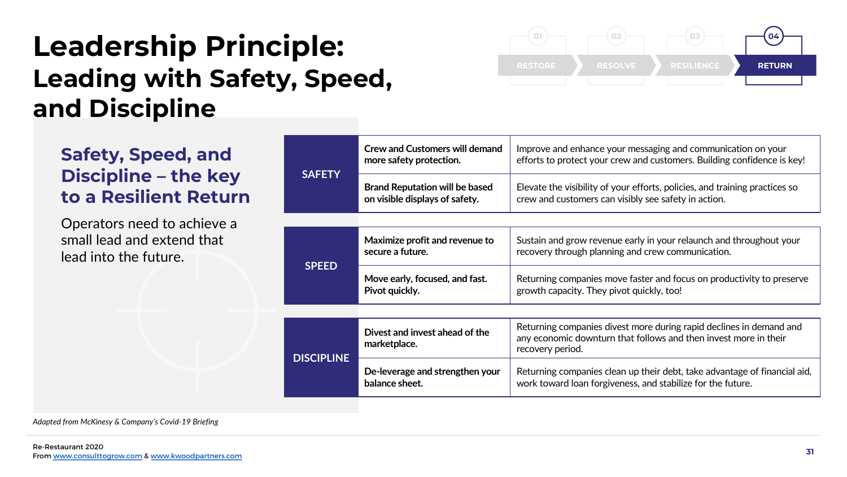## Leadership Principle: Leading with Safety, Speed, and Discipline

![](_page_30_Figure_1.jpeg)

## Safety, Speed, and Discipline – the key to a Resilient Return

Operators need to achieve a small lead and extend that lead into the future.

| <b>SAFETY</b>     | <b>Crew and Customers will demand</b><br>more safety protection.        | Improve and enhance your messaging and communication on your<br>efforts to protect your crew and customers. Building confidence is key!                     |  |
|-------------------|-------------------------------------------------------------------------|-------------------------------------------------------------------------------------------------------------------------------------------------------------|--|
|                   | <b>Brand Reputation will be based</b><br>on visible displays of safety. | Elevate the visibility of your efforts, policies, and training practices so<br>crew and customers can visibly see safety in action.                         |  |
|                   |                                                                         |                                                                                                                                                             |  |
| <b>SPEED</b>      | Maximize profit and revenue to<br>secure a future.                      | Sustain and grow revenue early in your relaunch and throughout your<br>recovery through planning and crew communication.                                    |  |
|                   | Move early, focused, and fast.<br>Pivot quickly.                        | Returning companies move faster and focus on productivity to preserve<br>growth capacity. They pivot quickly, too!                                          |  |
|                   |                                                                         |                                                                                                                                                             |  |
| <b>DISCIPLINE</b> | Divest and invest ahead of the<br>marketplace.                          | Returning companies divest more during rapid declines in demand and<br>any economic downturn that follows and then invest more in their<br>recovery period. |  |
|                   | De-leverage and strengthen your<br>balance sheet.                       | Returning companies clean up their debt, take advantage of financial aid,<br>work toward loan forgiveness, and stabilize for the future.                    |  |

Adapted from McKinesy & Company's Covid-19 Briefing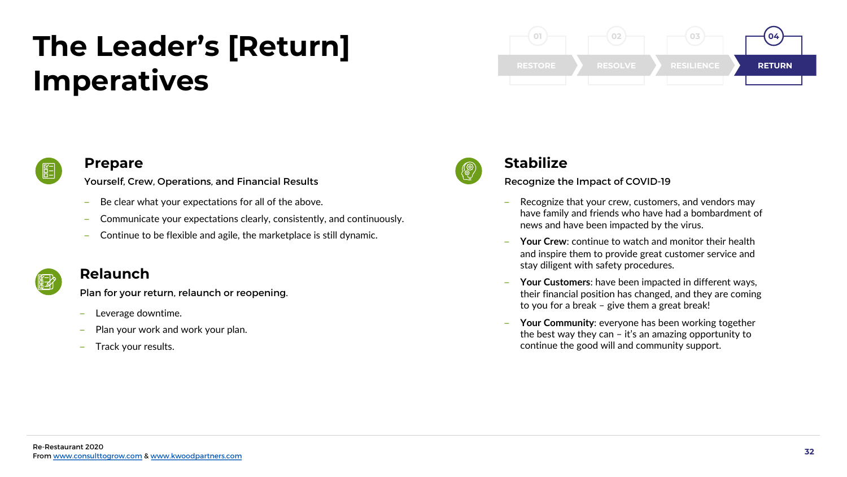## The Leader's [Return] Imperatives

![](_page_31_Picture_1.jpeg)

![](_page_31_Picture_2.jpeg)

### Prepare

Yourself, Crew, Operations, and Financial Results

- ‒ Be clear what your expectations for all of the above.
- ‒ Communicate your expectations clearly, consistently, and continuously.
- ‒ Continue to be flexible and agile, the marketplace is still dynamic.

![](_page_31_Picture_8.jpeg)

### Relaunch

Plan for your return, relaunch or reopening.

- ‒ Leverage downtime.
- Plan your work and work your plan.
- ‒ Track your results.

![](_page_31_Picture_14.jpeg)

## Stabilize

Recognize the Impact of COVID-19

- Recognize that your crew, customers, and vendors may have family and friends who have had a bombardment of news and have been impacted by the virus.
- Your Crew: continue to watch and monitor their health and inspire them to provide great customer service and stay diligent with safety procedures.
- ‒ Your Customers: have been impacted in different ways, their financial position has changed, and they are coming to you for a break – give them a great break!
- ‒ Your Community: everyone has been working together the best way they can  $-$  it's an amazing opportunity to continue the good will and community support.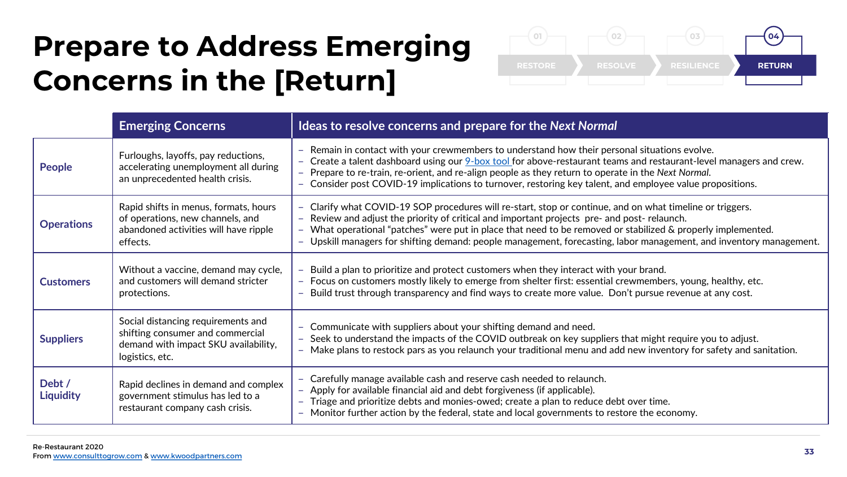## Prepare to Address Emerging Concerns in the [Return]

![](_page_32_Figure_1.jpeg)

|                            | <b>Emerging Concerns</b>                                                                                                          | Ideas to resolve concerns and prepare for the Next Normal                                                                                                                                                                                                                                                                                                                                                                                  |
|----------------------------|-----------------------------------------------------------------------------------------------------------------------------------|--------------------------------------------------------------------------------------------------------------------------------------------------------------------------------------------------------------------------------------------------------------------------------------------------------------------------------------------------------------------------------------------------------------------------------------------|
| People                     | Furloughs, layoffs, pay reductions,<br>accelerating unemployment all during<br>an unprecedented health crisis.                    | Remain in contact with your crewmembers to understand how their personal situations evolve.<br>- Create a talent dashboard using our <b>9-box tool</b> for above-restaurant teams and restaurant-level managers and crew.<br>Prepare to re-train, re-orient, and re-align people as they return to operate in the Next Normal.<br>Consider post COVID-19 implications to turnover, restoring key talent, and employee value propositions.  |
| <b>Operations</b>          | Rapid shifts in menus, formats, hours<br>of operations, new channels, and<br>abandoned activities will have ripple<br>effects.    | - Clarify what COVID-19 SOP procedures will re-start, stop or continue, and on what timeline or triggers.<br>Review and adjust the priority of critical and important projects pre- and post- relaunch.<br>What operational "patches" were put in place that need to be removed or stabilized & properly implemented.<br>Upskill managers for shifting demand: people management, forecasting, labor management, and inventory management. |
| <b>Customers</b>           | Without a vaccine, demand may cycle,<br>and customers will demand stricter<br>protections.                                        | Build a plan to prioritize and protect customers when they interact with your brand.<br>Focus on customers mostly likely to emerge from shelter first: essential crewmembers, young, healthy, etc.<br>$\overline{\phantom{0}}$<br>Build trust through transparency and find ways to create more value. Don't pursue revenue at any cost.                                                                                                   |
| <b>Suppliers</b>           | Social distancing requirements and<br>shifting consumer and commercial<br>demand with impact SKU availability,<br>logistics, etc. | Communicate with suppliers about your shifting demand and need.<br>Seek to understand the impacts of the COVID outbreak on key suppliers that might require you to adjust.<br>Make plans to restock pars as you relaunch your traditional menu and add new inventory for safety and sanitation.                                                                                                                                            |
| Debt /<br><b>Liquidity</b> | Rapid declines in demand and complex<br>government stimulus has led to a<br>restaurant company cash crisis.                       | - Carefully manage available cash and reserve cash needed to relaunch.<br>- Apply for available financial aid and debt forgiveness (if applicable).<br>Triage and prioritize debts and monies-owed; create a plan to reduce debt over time.<br>Monitor further action by the federal, state and local governments to restore the economy.                                                                                                  |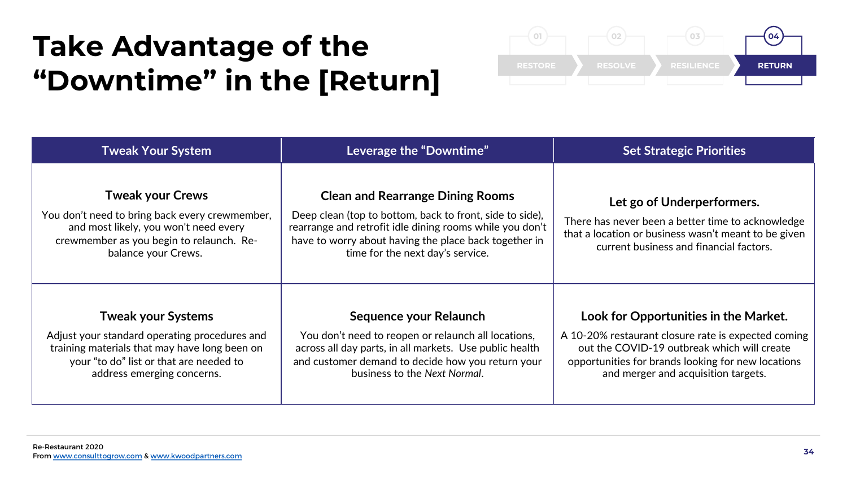## Take Advantage of the "Downtime" in the  $[Return]$

![](_page_33_Figure_1.jpeg)

| <b>Tweak Your System</b>                                                                                                                                                                             | Leverage the "Downtime"                                                                                                                                                                                                                                      | <b>Set Strategic Priorities</b>                                                                                                                                                                                                          |  |
|------------------------------------------------------------------------------------------------------------------------------------------------------------------------------------------------------|--------------------------------------------------------------------------------------------------------------------------------------------------------------------------------------------------------------------------------------------------------------|------------------------------------------------------------------------------------------------------------------------------------------------------------------------------------------------------------------------------------------|--|
| <b>Tweak your Crews</b><br>You don't need to bring back every crewmember,<br>and most likely, you won't need every<br>crewmember as you begin to relaunch. Re-<br>balance your Crews.                | <b>Clean and Rearrange Dining Rooms</b><br>Deep clean (top to bottom, back to front, side to side),<br>rearrange and retrofit idle dining rooms while you don't<br>have to worry about having the place back together in<br>time for the next day's service. | Let go of Underperformers.<br>There has never been a better time to acknowledge<br>that a location or business wasn't meant to be given<br>current business and financial factors.                                                       |  |
| <b>Tweak your Systems</b><br>Adjust your standard operating procedures and<br>training materials that may have long been on<br>your "to do" list or that are needed to<br>address emerging concerns. | Sequence your Relaunch<br>You don't need to reopen or relaunch all locations,<br>across all day parts, in all markets. Use public health<br>and customer demand to decide how you return your<br>business to the Next Normal.                                | Look for Opportunities in the Market.<br>A 10-20% restaurant closure rate is expected coming<br>out the COVID-19 outbreak which will create<br>opportunities for brands looking for new locations<br>and merger and acquisition targets. |  |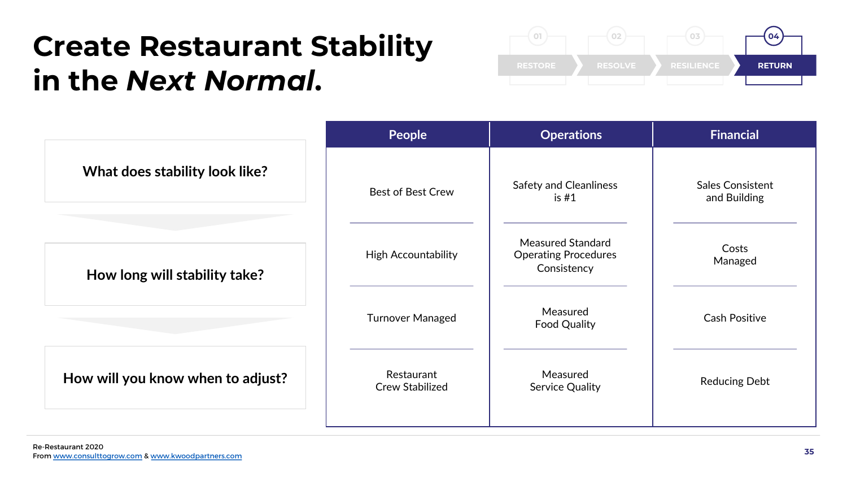## Create Restaurant Stability in the *Next Normal*.

![](_page_34_Picture_1.jpeg)

| People                        | <b>Operations</b>                                                      | <b>Financial</b>                        |
|-------------------------------|------------------------------------------------------------------------|-----------------------------------------|
| <b>Best of Best Crew</b>      | <b>Safety and Cleanliness</b><br>is $#1$                               | <b>Sales Consistent</b><br>and Building |
| <b>High Accountability</b>    | <b>Measured Standard</b><br><b>Operating Procedures</b><br>Consistency | Costs<br>Managed                        |
| <b>Turnover Managed</b>       | Measured<br><b>Food Quality</b>                                        | <b>Cash Positive</b>                    |
| Restaurant<br>Crew Stabilized | Measured<br><b>Service Quality</b>                                     | <b>Reducing Debt</b>                    |
|                               |                                                                        |                                         |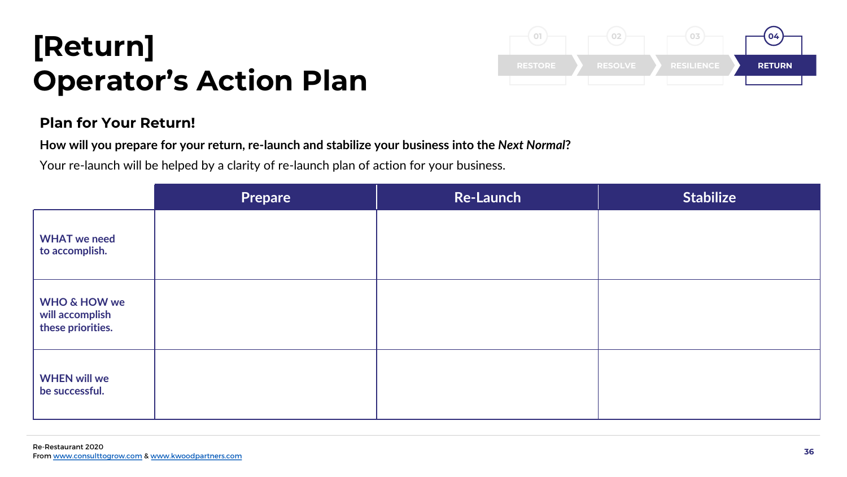## [Return] Operator's Action Plan

![](_page_35_Picture_1.jpeg)

## Plan for Your Return!

How will you prepare for your return, re-launch and stabilize your business into the Next Normal?

Your re-launch will be helped by a clarity of re-launch plan of action for your business.

|                                                                 | <b>Prepare</b> | <b>Re-Launch</b> | <b>Stabilize</b> |
|-----------------------------------------------------------------|----------------|------------------|------------------|
| <b>WHAT</b> we need<br>to accomplish.                           |                |                  |                  |
| <b>WHO &amp; HOW we</b><br>will accomplish<br>these priorities. |                |                  |                  |
| <b>WHEN will we</b><br>be successful.                           |                |                  |                  |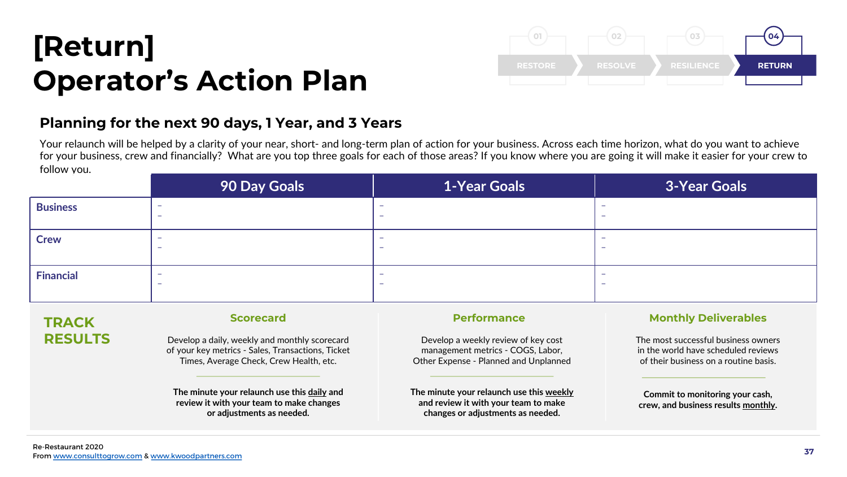## [Return] Operator's Action Plan

![](_page_36_Figure_1.jpeg)

## Planning for the next 90 days, 1 Year, and 3 Years

Your relaunch will be helped by a clarity of your near, short- and long-term plan of action for your business. Across each time horizon, what do you want to achieve for your business, crew and financially? What are you top three goals for each of those areas? If you know where you are going it will make it easier for your crew to follow you.

|                  | 90 Day Goals                  | <b>1-Year Goals</b> | <b>3-Year Goals</b>      |
|------------------|-------------------------------|---------------------|--------------------------|
| <b>Business</b>  | $\overline{\phantom{0}}$      |                     | -                        |
| <b>Crew</b>      | $\overline{\phantom{a}}$      | -                   | $\overline{\phantom{0}}$ |
| <b>Financial</b> | -<br>$\overline{\phantom{0}}$ |                     | -                        |

## **TRACK** RESULTS

### Scorecard

Develop a daily, weekly and monthly scorecard of your key metrics - Sales, Transactions, Ticket Times, Average Check, Crew Health, etc.

The minute your relaunch use this daily and review it with your team to make changes or adjustments as needed.

### Performance

Develop a weekly review of key cost management metrics - COGS, Labor, Other Expense - Planned and Unplanned

The minute your relaunch use this weekly and review it with your team to make changes or adjustments as needed.

### Monthly Deliverables

The most successful business owners in the world have scheduled reviews of their business on a routine basis.

Commit to monitoring your cash, crew, and business results monthly.